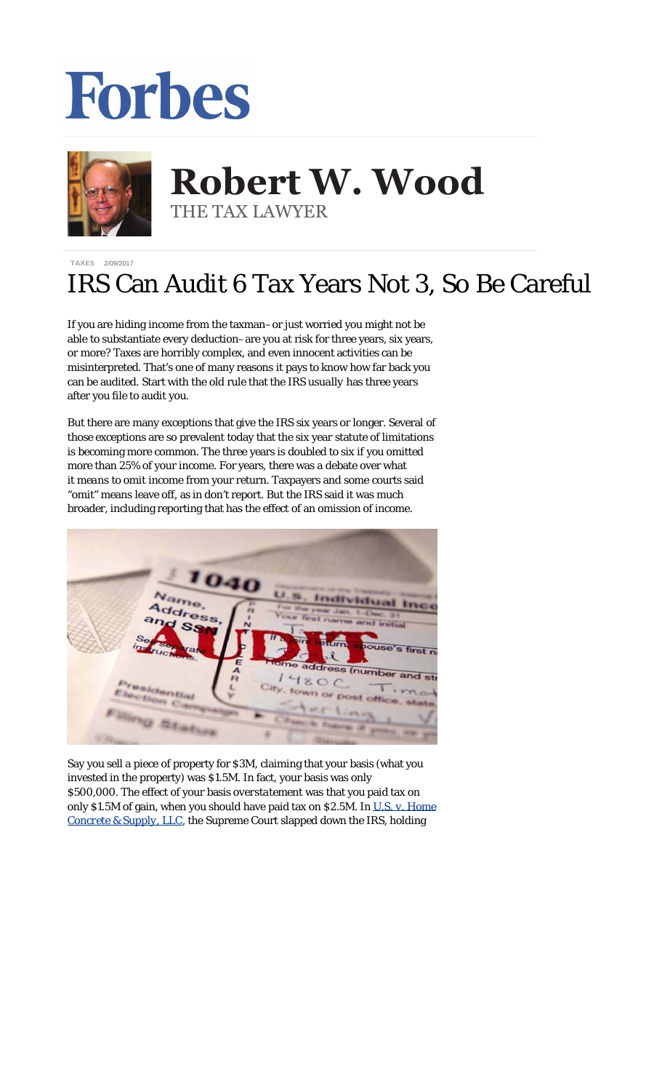## Forbes



## **Robert W. Wood Robert W. Wood** THE TAX LAWYER THE TAX LAWYER

[TAXES](http://www.forbes.com/taxes) 2/09/2017

## IRS Can Audit 6 Tax Years Not 3, So Be Careful

If you are hiding income from the taxman–or just worried you might not be able to substantiate every deduction–are you at risk for three years, six years, or more? Taxes are horribly complex, and even innocent activities can be misinterpreted. That's one of many reasons it pays to know how far back you can be audited. Start with the old rule that the IRS *usually* has three years after you file to audit you.

But there are many exceptions that give the IRS six years or longer. Several of those exceptions are so prevalent today that the six year statute of limitations is becoming more common. The three years is doubled to six if you omitted more than 25% of your income. For years, there was a debate over what it *means* to *omit* income from your return. Taxpayers and some courts said "omit" means leave off, as in don't report. But the IRS said it was much broader, including reporting that has the *effect* of an omission of income.



Say you sell a piece of property for \$3M, claiming that your basis (what you invested in the property) was \$1.5M. In fact, your basis was only \$500,000. The effect of your basis *overstatement* was that you paid tax on only \$1.5M of gain, when you *should* have paid tax on \$2.5M. In *[U.S. v. Home](http://www.supremecourt.gov/opinions/11pdf/11-139.pdf) [Concrete & Supply, LLC](http://www.supremecourt.gov/opinions/11pdf/11-139.pdf),* the Supreme Court slapped down the IRS, holding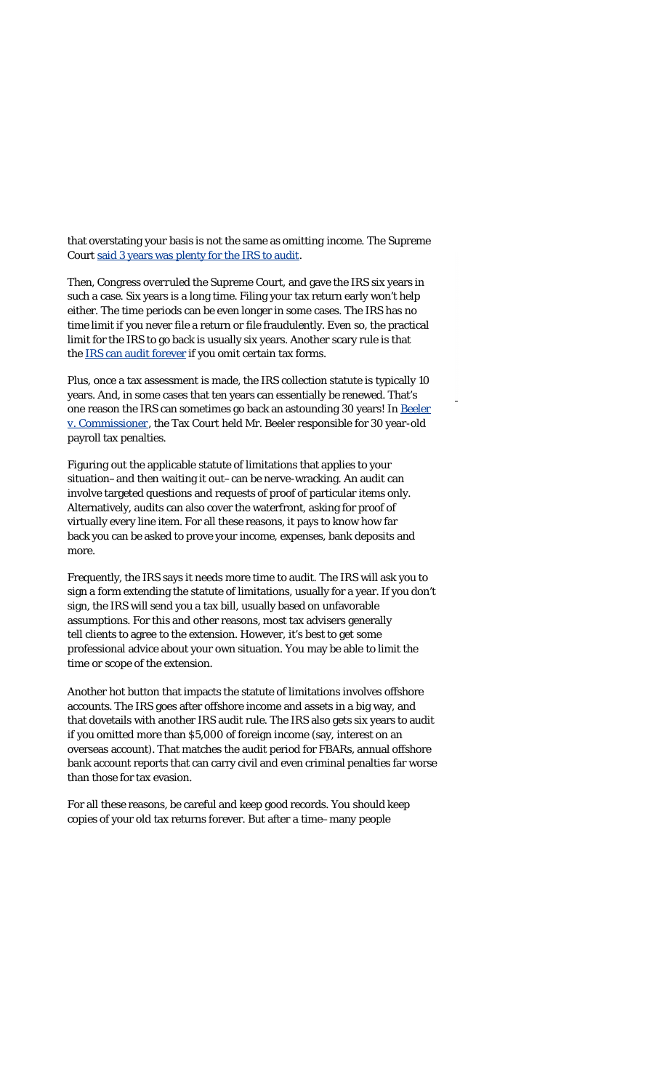that overstating your basis is *not* the same as *omitting* income. The Supreme Court said [3 years was plenty for the IRS to audit.](http://www.forbes.com/sites/robertwood/2012/04/25/huge-taxpayer-win-supreme-court-tells-irs-3-years-to-audit-is-plenty/)

Then, Congress *overruled* the Supreme Court, and gave the IRS six years in such a case. Six years is a long time. Filing your tax return early won't help either. The time periods can be even longer in some cases. The IRS has *no time limit* if you never file a return or file fraudulently. Even so, the practical limit for the IRS to go back is usually six years. Another scary rule is that the [IRS can audit forever](http://www.forbes.com/sites/robertwood/2014/03/03/scariest-tax-form-skip-it-and-irs-can-audit-forever/) if you omit certain tax forms.

Plus, once a tax assessment is made, the IRS *collection* statute is typically 10 years. And, in some cases that ten years can essentially be renewed. That's one reason the IRS can sometimes go back an astounding 30 years! In *[Beeler](http://scholar.google.com/scholar_case?case=12136154888887932794&hl=en&as_sdt=2&as_vis=1&oi=scholarr) [v. Commissioner](http://scholar.google.com/scholar_case?case=12136154888887932794&hl=en&as_sdt=2&as_vis=1&oi=scholarr)*, the Tax Court held Mr. Beeler responsible for 30 year-old payroll tax penalties.

Figuring out the applicable statute of limitations that applies to your situation–and then waiting it out–can be nerve-wracking. An audit can involve targeted questions and requests of proof of particular items only. Alternatively, audits can also cover the waterfront, asking for proof of virtually every line item. For all these reasons, it pays to know how far back you can be asked to prove your income, expenses, bank deposits and more.

Frequently, the IRS says it needs more time to audit. The IRS will ask you to sign a form extending the statute of limitations, usually for a year. If you don't sign, the IRS will send you a tax bill, usually based on unfavorable assumptions. For this and other reasons, most tax advisers generally tell clients to agree to the extension. However, it's best to get some professional advice about your own situation. You may be able to limit the time or scope of the extension.

Another hot button that impacts the statute of limitations involves offshore accounts. The IRS goes after offshore income and assets in a big way, and that dovetails with another IRS audit rule. The IRS also gets six years to audit if you omitted more than \$5,000 of foreign income (say, interest on an overseas account). That matches the audit period for FBARs, annual offshore bank account reports that can carry civil and even criminal penalties far worse than those for tax evasion.

For all these reasons, be careful and keep good records. You should keep copies of your old tax returns forever. But after a time–many people